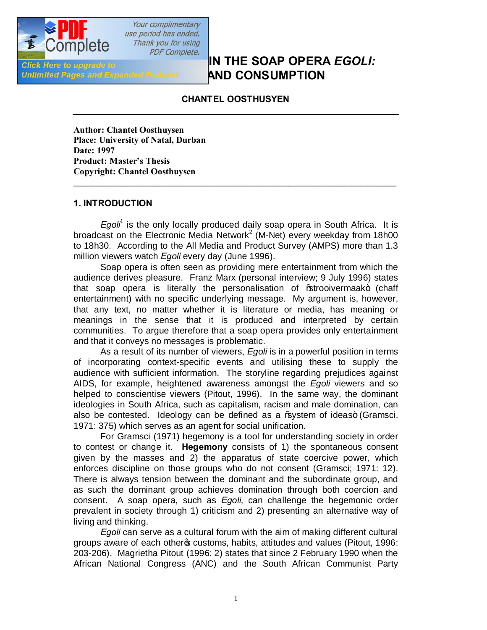

Your complimentary use period has ended. Thank you for using **PDF Complete.** 

**IN THE SOAP OPERA** *EGOLI:* **IN THE SOAP OPERA** *EGOLI:* **Unlimited Pages and Expanded Features AND CONSUMPTION** 

# **CHANTEL OOSTHUSYEN**

**Author: Chantel Oosthuysen Place: University of Natal, Durban Date: 1997 Product: Master's Thesis Copyright: Chantel Oosthuysen**

#### **1. INTRODUCTION**

*Egoli*<sup>1</sup> is the only locally produced daily soap opera in South Africa. It is broadcast on the Electronic Media Network<sup>2</sup> (M-Net) every weekday from 18h00 to 18h30. According to the All Media and Product Survey (AMPS) more than 1.3 million viewers watch *Egoli* every day (June 1996).

**\_\_\_\_\_\_\_\_\_\_\_\_\_\_\_\_\_\_\_\_\_\_\_\_\_\_\_\_\_\_\_\_\_\_\_\_\_\_\_\_\_\_\_\_\_\_\_\_\_\_\_\_\_\_\_\_\_\_\_\_\_\_\_\_\_\_\_\_\_\_\_\_**

Soap opera is often seen as providing mere entertainment from which the audience derives pleasure. Franz Marx (personal interview; 9 July 1996) states that soap opera is literally the personalisation of % trooivermaak+ (chaff entertainment) with no specific underlying message. My argument is, however, that any text, no matter whether it is literature or media, has meaning or meanings in the sense that it is produced and interpreted by certain communities. To argue therefore that a soap opera provides only entertainment and that it conveys no messages is problematic.

As a result of its number of viewers, *Egoli* is in a powerful position in terms of incorporating context-specific events and utilising these to supply the audience with sufficient information. The storyline regarding prejudices against AIDS, for example, heightened awareness amongst the *Egoli* viewers and so helped to conscientise viewers (Pitout, 1996). In the same way, the dominant ideologies in South Africa, such as capitalism, racism and male domination, can also be contested. Ideology can be defined as a % w stem of ideas+ (Gramsci, 1971: 375) which serves as an agent for social unification.

For Gramsci (1971) hegemony is a tool for understanding society in order to contest or change it. **Hegemony** consists of 1) the spontaneous consent given by the masses and 2) the apparatus of state coercive power, which enforces discipline on those groups who do not consent (Gramsci; 1971: 12). There is always tension between the dominant and the subordinate group, and as such the dominant group achieves domination through both coercion and consent. A soap opera, such as *Egoli*, can challenge the hegemonic order prevalent in society through 1) criticism and 2) presenting an alternative way of living and thinking.

*Egoli* can serve as a cultural forum with the aim of making different cultural groups aware of each otheros customs, habits, attitudes and values (Pitout, 1996: 203-206). Magrietha Pitout (1996: 2) states that since 2 February 1990 when the African National Congress (ANC) and the South African Communist Party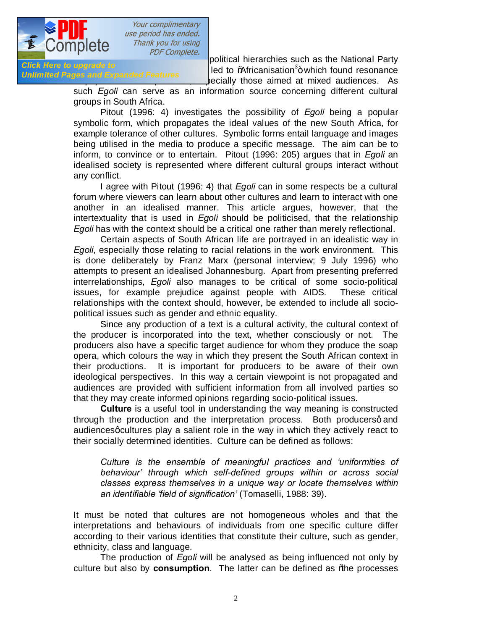

**Unlimited Pages and Expanded Features** 

Exactle COTTIPICTO *PDF Complete.*<br>Click Here to upgrade to exercise the National Party political hierarchies such as the National Party  $\mu$ pgrade to discussion<sup>3</sup> + which found resonance pecially those aimed at mixed audiences. As

such *Egoli* can serve as an information source concerning different cultural groups in South Africa.

Pitout (1996: 4) investigates the possibility of *Egoli* being a popular symbolic form, which propagates the ideal values of the new South Africa, for example tolerance of other cultures. Symbolic forms entail language and images being utilised in the media to produce a specific message. The aim can be to inform, to convince or to entertain. Pitout (1996: 205) argues that in *Egoli* an idealised society is represented where different cultural groups interact without any conflict.

I agree with Pitout (1996: 4) that *Egoli* can in some respects be a cultural forum where viewers can learn about other cultures and learn to interact with one another in an idealised manner. This article argues, however, that the intertextuality that is used in *Egoli* should be politicised, that the relationship *Egoli* has with the context should be a critical one rather than merely reflectional.

Certain aspects of South African life are portrayed in an idealistic way in *Egoli*, especially those relating to racial relations in the work environment. This is done deliberately by Franz Marx (personal interview; 9 July 1996) who attempts to present an idealised Johannesburg. Apart from presenting preferred interrelationships, *Egoli* also manages to be critical of some socio-political issues, for example prejudice against people with AIDS. These critical relationships with the context should, however, be extended to include all sociopolitical issues such as gender and ethnic equality.

Since any production of a text is a cultural activity, the cultural context of the producer is incorporated into the text, whether consciously or not. The producers also have a specific target audience for whom they produce the soap opera, which colours the way in which they present the South African context in their productions. It is important for producers to be aware of their own ideological perspectives. In this way a certain viewpoint is not propagated and audiences are provided with sufficient information from all involved parties so that they may create informed opinions regarding socio-political issues.

**Culture** is a useful tool in understanding the way meaning is constructed through the production and the interpretation process. Both producersq and audiences q cultures play a salient role in the way in which they actively react to their socially determined identities. Culture can be defined as follows:

*Culture is the ensemble of meaningful practices and 'uniformities of behaviour' through which self-defined groups within or across social classes express themselves in a unique way or locate themselves within an identifiable 'field of signification'* (Tomaselli, 1988: 39)*.*

It must be noted that cultures are not homogeneous wholes and that the interpretations and behaviours of individuals from one specific culture differ according to their various identities that constitute their culture, such as gender, ethnicity, class and language.

The production of *Egoli* will be analysed as being influenced not only by culture but also by **consumption**. The latter can be defined as % he processes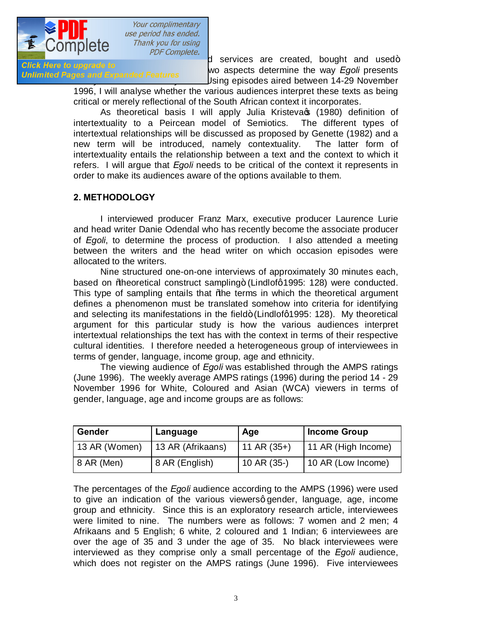

by which consumer the complete.<br>
d services are created, bought and used+<br>
we sepecte determine the way Eagli presents Gick Here to upgrade to<br>Unlimited Pages and Expanded Features wo aspects determine the way *Egoli* presents Jsing episodes aired between 14-29 November

1996, I will analyse whether the various audiences interpret these texts as being critical or merely reflectional of the South African context it incorporates.

As theoretical basis I will apply Julia Kristeva (1980) definition of intertextuality to a Peircean model of Semiotics. The different types of intertextual relationships will be discussed as proposed by Genette (1982) and a new term will be introduced, namely contextuality. The latter form of intertextuality entails the relationship between a text and the context to which it refers. I will argue that *Egoli* needs to be critical of the context it represents in order to make its audiences aware of the options available to them.

## **2. METHODOLOGY**

I interviewed producer Franz Marx, executive producer Laurence Lurie and head writer Danie Odendal who has recently become the associate producer of *Egoli*, to determine the process of production. I also attended a meeting between the writers and the head writer on which occasion episodes were allocated to the writers.

Nine structured one-on-one interviews of approximately 30 minutes each, based on % beoretical construct sampling + (Lindlofg 1995: 128) were conducted. This type of sampling entails that % the terms in which the theoretical argument defines a phenomenon must be translated somehow into criteria for identifying and selecting its manifestations in the field+ (Lindlofg1995: 128). My theoretical argument for this particular study is how the various audiences interpret intertextual relationships the text has with the context in terms of their respective cultural identities. I therefore needed a heterogeneous group of interviewees in terms of gender, language, income group, age and ethnicity.

The viewing audience of *Egoli* was established through the AMPS ratings (June 1996). The weekly average AMPS ratings (1996) during the period 14 - 29 November 1996 for White, Coloured and Asian (WCA) viewers in terms of gender, language, age and income groups are as follows:

| Gender        | Language          | Age           | Income Group        |
|---------------|-------------------|---------------|---------------------|
| 13 AR (Women) | 13 AR (Afrikaans) | 11 AR $(35+)$ | 11 AR (High Income) |
| 8 AR (Men)    | 8 AR (English)    | 10 AR (35-)   | 10 AR (Low Income)  |

The percentages of the *Egoli* audience according to the AMPS (1996) were used to give an indication of the various viewersg gender, language, age, income group and ethnicity. Since this is an exploratory research article, interviewees were limited to nine. The numbers were as follows: 7 women and 2 men; 4 Afrikaans and 5 English; 6 white, 2 coloured and 1 Indian; 6 interviewees are over the age of 35 and 3 under the age of 35. No black interviewees were interviewed as they comprise only a small percentage of the *Egoli* audience, which does not register on the AMPS ratings (June 1996). Five interviewees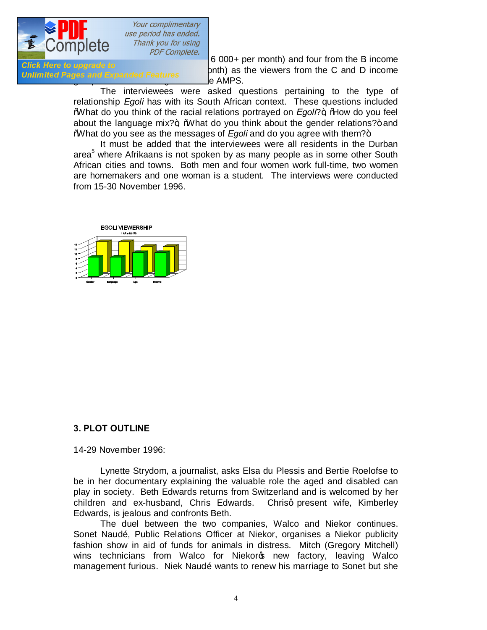

were considered to the Complete.<br>Click Here to upgrade to  $\frac{PDF\text{ Complete.}}{PDF\text{ complete.}}$  6 000+ per month) and four from the B income Gick here to upgrade to<br>Unlimited Pages and Expanded Features 2009 and D income e AMPS.

> The interviewees were asked questions pertaining to the type of relationship *Egoli* has with its South African context. These questions included What do you think of the racial relations portrayed on *Egoli*?+, Mow do you feel about the language mix? $+$ , %What do you think about the gender relations? $+$  and What do you see as the messages of *Egoli* and do you agree with them?+

> It must be added that the interviewees were all residents in the Durban area<sup>5</sup> where Afrikaans is not spoken by as many people as in some other South African cities and towns. Both men and four women work full-time, two women are homemakers and one woman is a student. The interviews were conducted from 15-30 November 1996.



#### **3. PLOT OUTLINE**

14-29 November 1996:

Lynette Strydom, a journalist, asks Elsa du Plessis and Bertie Roelofse to be in her documentary explaining the valuable role the aged and disabled can play in society. Beth Edwards returns from Switzerland and is welcomed by her children and ex-husband, Chris Edwards. Chrisq present wife, Kimberley Edwards, is jealous and confronts Beth.

The duel between the two companies, Walco and Niekor continues. Sonet Naudé, Public Relations Officer at Niekor, organises a Niekor publicity fashion show in aid of funds for animals in distress. Mitch (Gregory Mitchell) wins technicians from Walco for Niekors new factory, leaving Walco management furious. Niek Naudé wants to renew his marriage to Sonet but she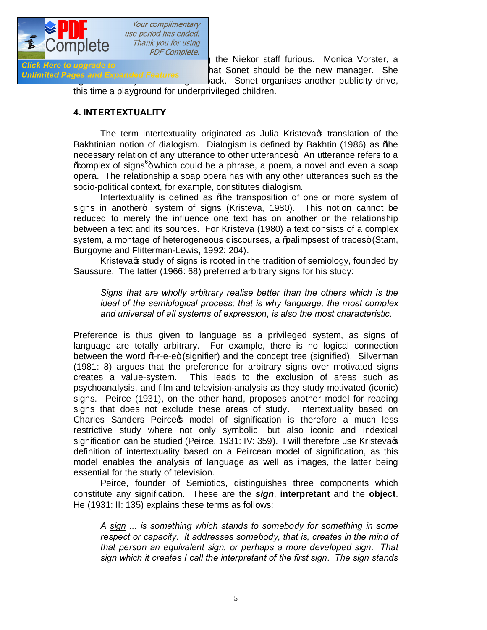

Shareholder of Nightsub to the Nightsubstantial control of the Nightsubstantial Uniformited Pages and Expanded Features ack. Sonet organises another publicity drive,

this time a playground for underprivileged children.

#### **4. INTERTEXTUALITY**

The term intertextuality originated as Julia Kristeva itranslation of the Bakhtinian notion of dialogism. Dialogism is defined by Bakhtin (1986) as % ble necessary relation of any utterance to other utterances. An utterance refers to a %complex of signs<sup>6</sup>+ which could be a phrase, a poem, a novel and even a soap opera. The relationship a soap opera has with any other utterances such as the socio-political context, for example, constitutes dialogism.

Intertextuality is defined as % the transposition of one or more system of signs in another+ system of signs (Kristeva, 1980). This notion cannot be reduced to merely the influence one text has on another or the relationship between a text and its sources. For Kristeva (1980) a text consists of a complex system, a montage of heterogeneous discourses, a % alimpsest of traces+ (Stam, Burgoyne and Flitterman-Lewis, 1992: 204).

Kristeva  $\phi$  study of signs is rooted in the tradition of semiology, founded by Saussure. The latter (1966: 68) preferred arbitrary signs for his study:

*Signs that are wholly arbitrary realise better than the others which is the ideal of the semiological process; that is why language, the most complex and universal of all systems of expression, is also the most characteristic.*

Preference is thus given to language as a privileged system, as signs of language are totally arbitrary. For example, there is no logical connection between the word *N*<sub>o</sub>r-e-e+ (signifier) and the concept tree (signified). Silverman (1981: 8) argues that the preference for arbitrary signs over motivated signs creates a value-system. This leads to the exclusion of areas such as psychoanalysis, and film and television-analysis as they study motivated (iconic) signs. Peirce (1931), on the other hand, proposes another model for reading signs that does not exclude these areas of study. Intertextuality based on Charles Sanders Peirces model of signification is therefore a much less restrictive study where not only symbolic, but also iconic and indexical signification can be studied (Peirce, 1931: IV: 359). I will therefore use Kristeva $\infty$ definition of intertextuality based on a Peircean model of signification, as this model enables the analysis of language as well as images, the latter being essential for the study of television.

Peirce, founder of Semiotics, distinguishes three components which constitute any signification. These are the *sign*, **interpretant** and the **object**. He (1931: II: 135) explains these terms as follows:

*A sign ... is something which stands to somebody for something in some respect or capacity. It addresses somebody, that is, creates in the mind of that person an equivalent sign, or perhaps a more developed sign. That sign which it creates I call the interpretant of the first sign. The sign stands*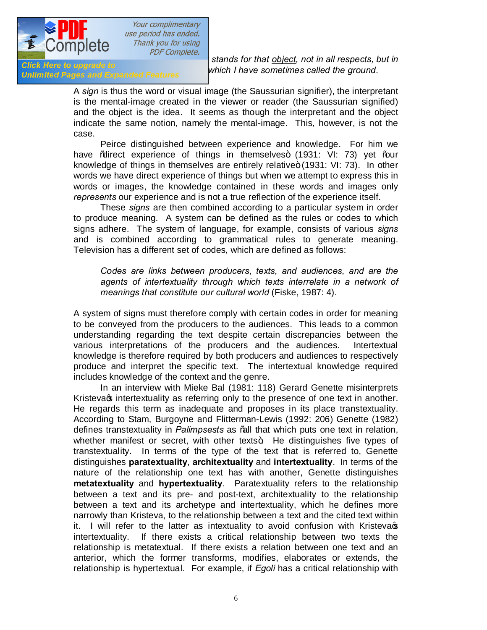

*PICK Here to apgrade to*<br>Unlimited Pages and Expanded Features **the Which I have sometimes called the ground.** 

**for something of the something of stands for that <u>object</u>, not in all respects, but in <br><b>Click Here to upgrade to in this but in** *which I have comptimes called the ground* 

A *sign* is thus the word or visual image (the Saussurian signifier), the interpretant is the mental-image created in the viewer or reader (the Saussurian signified) and the object is the idea. It seems as though the interpretant and the object indicate the same notion, namely the mental-image. This, however, is not the case.

Peirce distinguished between experience and knowledge. For him we have % direct experience of things in themselves+ (1931: VI: 73) yet % aur knowledge of things in themselves are entirely relative+ (1931: VI: 73). In other words we have direct experience of things but when we attempt to express this in words or images, the knowledge contained in these words and images only *represents* our experience and is not a true reflection of the experience itself.

These *signs* are then combined according to a particular system in order to produce meaning. A system can be defined as the rules or codes to which signs adhere. The system of language, for example, consists of various *signs* and is combined according to grammatical rules to generate meaning. Television has a different set of codes, which are defined as follows:

*Codes are links between producers, texts, and audiences, and are the agents of intertextuality through which texts interrelate in a network of meanings that constitute our cultural world* (Fiske, 1987: 4)*.* 

A system of signs must therefore comply with certain codes in order for meaning to be conveyed from the producers to the audiences. This leads to a common understanding regarding the text despite certain discrepancies between the various interpretations of the producers and the audiences. Intertextual knowledge is therefore required by both producers and audiences to respectively produce and interpret the specific text. The intertextual knowledge required includes knowledge of the context and the genre.

In an interview with Mieke Bal (1981: 118) Gerard Genette misinterprets Kristeva<sub>s</sub> intertextuality as referring only to the presence of one text in another. He regards this term as inadequate and proposes in its place transtextuality. According to Stam, Burgoyne and Flitterman-Lewis (1992: 206) Genette (1982) defines transtextuality in *Palimpsests* as "all that which puts one text in relation, whether manifest or secret, with other texts<sup>\*</sup>. He distinguishes five types of transtextuality. In terms of the type of the text that is referred to, Genette distinguishes **paratextuality**, **architextuality** and **intertextuality**. In terms of the nature of the relationship one text has with another, Genette distinguishes **metatextuality** and **hypertextuality**. Paratextuality refers to the relationship between a text and its pre- and post-text, architextuality to the relationship between a text and its archetype and intertextuality, which he defines more narrowly than Kristeva, to the relationship between a text and the cited text within it. I will refer to the latter as intextuality to avoid confusion with Kristeva $\phi$ intertextuality. If there exists a critical relationship between two texts the relationship is metatextual. If there exists a relation between one text and an anterior, which the former transforms, modifies, elaborates or extends, the relationship is hypertextual. For example, if *Egoli* has a critical relationship with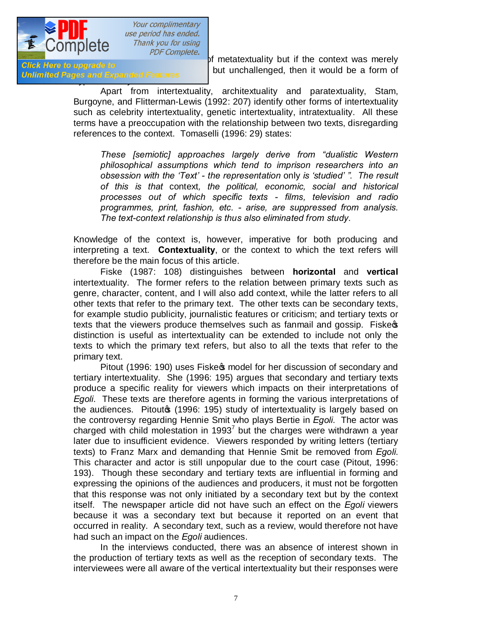

**Unlimited Pages and Expanded Features** 

 $\frac{1}{\sqrt{1+\frac{1}{\sqrt{1+\frac{1}{\sqrt{1+\frac{1}{\sqrt{1+\frac{1}{\sqrt{1+\frac{1}{\sqrt{1+\frac{1}{\sqrt{1+\frac{1}{\sqrt{1+\frac{1}{\sqrt{1+\frac{1}{\sqrt{1+\frac{1}{\sqrt{1+\frac{1}{\sqrt{1+\frac{1}{\sqrt{1+\frac{1}{\sqrt{1+\frac{1}{\sqrt{1+\frac{1}{\sqrt{1+\frac{1}{\sqrt{1+\frac{1}{\sqrt{1+\frac{1}{\sqrt{1+\frac{1}{\sqrt{1+\frac{1}{\sqrt{1+\frac{1}{\sqrt{1+\frac{1}{\sqrt{1+\frac{1}{\sqrt{1+\frac{1$ but unchallenged, then it would be a form of

> Apart from intertextuality, architextuality and paratextuality, Stam, Burgoyne, and Flitterman-Lewis (1992: 207) identify other forms of intertextuality such as celebrity intertextuality, genetic intertextuality, intratextuality. All these terms have a preoccupation with the relationship between two texts, disregarding references to the context. Tomaselli (1996: 29) states:

*These [semiotic] approaches largely derive from "dualistic Western philosophical assumptions which tend to imprison researchers into an obsession with the 'Text' - the representation* only *is 'studied' ". The result of this is that* context*, the political, economic, social and historical processes out of which specific texts - films, television and radio programmes, print, fashion, etc. - arise, are suppressed from analysis. The text-context relationship is thus also eliminated from study*.

Knowledge of the context is, however, imperative for both producing and interpreting a text. **Contextuality**, or the context to which the text refers will therefore be the main focus of this article.

Fiske (1987: 108) distinguishes between **horizontal** and **vertical** intertextuality. The former refers to the relation between primary texts such as genre, character, content, and I will also add context, while the latter refers to all other texts that refer to the primary text. The other texts can be secondary texts, for example studio publicity, journalistic features or criticism; and tertiary texts or texts that the viewers produce themselves such as fanmail and gossip. Fiskess distinction is useful as intertextuality can be extended to include not only the texts to which the primary text refers, but also to all the texts that refer to the primary text.

Pitout (1996: 190) uses Fiske $\infty$  model for her discussion of secondary and tertiary intertextuality. She (1996: 195) argues that secondary and tertiary texts produce a specific reality for viewers which impacts on their interpretations of *Egoli*. These texts are therefore agents in forming the various interpretations of the audiences. Pitoutom (1996: 195) study of intertextuality is largely based on the controversy regarding Hennie Smit who plays Bertie in *Egoli*. The actor was charged with child molestation in 1993<sup>7</sup> but the charges were withdrawn a year later due to insufficient evidence. Viewers responded by writing letters (tertiary texts) to Franz Marx and demanding that Hennie Smit be removed from *Egoli*. This character and actor is still unpopular due to the court case (Pitout, 1996: 193). Though these secondary and tertiary texts are influential in forming and expressing the opinions of the audiences and producers, it must not be forgotten that this response was not only initiated by a secondary text but by the context itself. The newspaper article did not have such an effect on the *Egoli* viewers because it was a secondary text but because it reported on an event that occurred in reality. A secondary text, such as a review, would therefore not have had such an impact on the *Egoli* audiences.

In the interviews conducted, there was an absence of interest shown in the production of tertiary texts as well as the reception of secondary texts. The interviewees were all aware of the vertical intertextuality but their responses were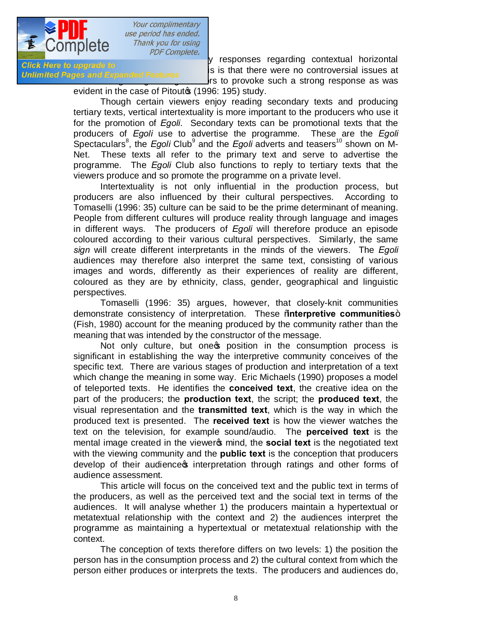

short complete.<br>Short complete to the second the second version of the second there is a contextual horizontal issues of **Until The reading the reason for the reason for the reason for the reason for the Vietnam Controversial issues at** rs to provoke such a strong response as was

evident in the case of Pitout<sup>\$</sup> (1996: 195) study.

Though certain viewers enjoy reading secondary texts and producing tertiary texts, vertical intertextuality is more important to the producers who use it for the promotion of *Egoli*. Secondary texts can be promotional texts that the producers of *Egoli* use to advertise the programme. These are the *Egoli*  Spectaculars<sup>8</sup>, the *Egoli* Club<sup>9</sup> and the *Egoli* adverts and teasers<sup>10</sup> shown on M-Net. These texts all refer to the primary text and serve to advertise the programme. The *Egoli* Club also functions to reply to tertiary texts that the viewers produce and so promote the programme on a private level.

Intertextuality is not only influential in the production process, but producers are also influenced by their cultural perspectives. According to Tomaselli (1996: 35) culture can be said to be the prime determinant of meaning. People from different cultures will produce reality through language and images in different ways. The producers of *Egoli* will therefore produce an episode coloured according to their various cultural perspectives. Similarly, the same *sign* will create different interpretants in the minds of the viewers. The *Egoli* audiences may therefore also interpret the same text, consisting of various images and words, differently as their experiences of reality are different, coloured as they are by ethnicity, class, gender, geographical and linguistic perspectives.

Tomaselli (1996: 35) argues, however, that closely-knit communities demonstrate consistency of interpretation. These "**interpretive communities**" (Fish, 1980) account for the meaning produced by the community rather than the meaning that was intended by the constructor of the message.

Not only culture, but one op position in the consumption process is significant in establishing the way the interpretive community conceives of the specific text. There are various stages of production and interpretation of a text which change the meaning in some way. Eric Michaels (1990) proposes a model of teleported texts. He identifies the **conceived text**, the creative idea on the part of the producers; the **production text**, the script; the **produced text**, the visual representation and the **transmitted text**, which is the way in which the produced text is presented. The **received text** is how the viewer watches the text on the television, for example sound/audio. The **perceived text** is the mental image created in the viewer<sub>®</sub> mind, the **social text** is the negotiated text with the viewing community and the **public text** is the conception that producers develop of their audience interpretation through ratings and other forms of audience assessment.

This article will focus on the conceived text and the public text in terms of the producers, as well as the perceived text and the social text in terms of the audiences. It will analyse whether 1) the producers maintain a hypertextual or metatextual relationship with the context and 2) the audiences interpret the programme as maintaining a hypertextual or metatextual relationship with the context.

The conception of texts therefore differs on two levels: 1) the position the person has in the consumption process and 2) the cultural context from which the person either produces or interprets the texts. The producers and audiences do,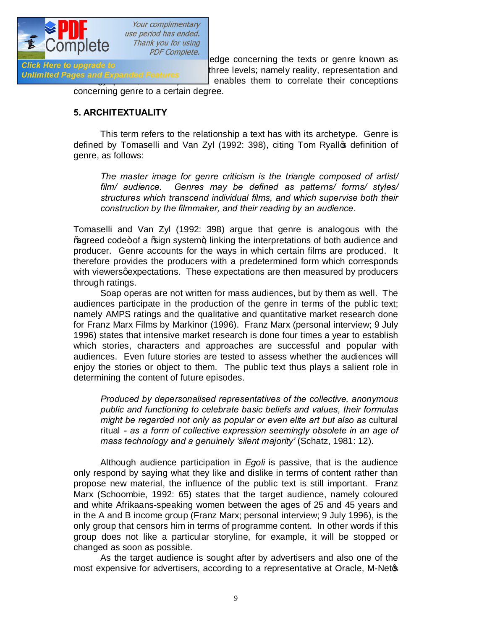

**however, share a community of the Community of the concerning the texts or genre known as<br>Click Here to upgrade to** che refers to upgrade to<br>Unlimited Pages and Expanded Features three levels; namely reality, representation and enables them to correlate their conceptions

concerning genre to a certain degree.

#### **5. ARCHITEXTUALITY**

This term refers to the relationship a text has with its archetype. Genre is defined by Tomaselli and Van Zyl (1992: 398), citing Tom Ryallos definition of genre, as follows:

*The master image for genre criticism is the triangle composed of artist/ film/ audience. Genres may be defined as patterns/ forms/ styles/ structures which transcend individual films, and which supervise both their construction by the filmmaker, and their reading by an audience.*

Tomaselli and Van Zyl (1992: 398) argue that genre is analogous with the % agreed code+ of a % agn system +, linking the interpretations of both audience and producer. Genre accounts for the ways in which certain films are produced. It therefore provides the producers with a predetermined form which corresponds with viewers gexpectations. These expectations are then measured by producers through ratings.

Soap operas are not written for mass audiences, but by them as well. The audiences participate in the production of the genre in terms of the public text; namely AMPS ratings and the qualitative and quantitative market research done for Franz Marx Films by Markinor (1996). Franz Marx (personal interview; 9 July 1996) states that intensive market research is done four times a year to establish which stories, characters and approaches are successful and popular with audiences. Even future stories are tested to assess whether the audiences will enjoy the stories or object to them. The public text thus plays a salient role in determining the content of future episodes.

*Produced by depersonalised representatives of the collective, anonymous public and functioning to celebrate basic beliefs and values, their formulas might be regarded not only as popular or even elite art but also as* cultural ritual *- as a form of collective expression seemingly obsolete in an age of mass technology and a genuinely 'silent majority'* (Schatz, 1981: 12)*.* 

Although audience participation in *Egoli* is passive, that is the audience only respond by saying what they like and dislike in terms of content rather than propose new material, the influence of the public text is still important. Franz Marx (Schoombie, 1992: 65) states that the target audience, namely coloured and white Afrikaans-speaking women between the ages of 25 and 45 years and in the A and B income group (Franz Marx; personal interview; 9 July 1996), is the only group that censors him in terms of programme content. In other words if this group does not like a particular storyline, for example, it will be stopped or changed as soon as possible.

As the target audience is sought after by advertisers and also one of the most expensive for advertisers, according to a representative at Oracle, M-Netos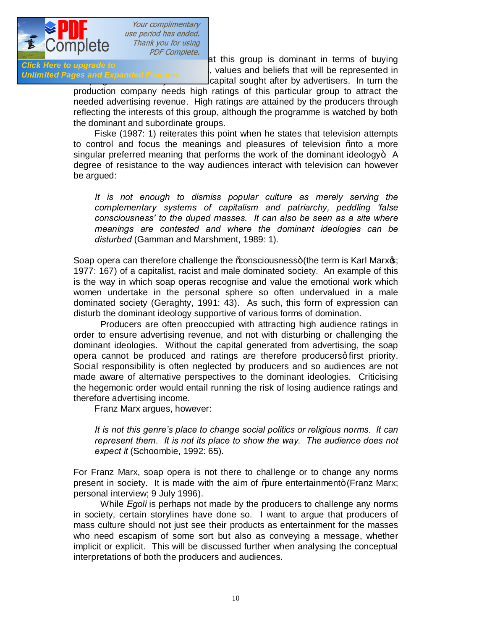

advertising the complete.<br>
at this group is dominant in terms of buying<br>
in the series that will be represented in **Pour Here to upgrade to**<br>Unlimited Pages and Expanded Features capital sought after by advertisers. In turn the

production company needs high ratings of this particular group to attract the needed advertising revenue. High ratings are attained by the producers through reflecting the interests of this group, although the programme is watched by both the dominant and subordinate groups.

Fiske (1987: 1) reiterates this point when he states that television attempts to control and focus the meanings and pleasures of television % ato a more singular preferred meaning that performs the work of the dominant ideology $\pm$ . A degree of resistance to the way audiences interact with television can however be argued:

*It is not enough to dismiss popular culture as merely serving the complementary systems of capitalism and patriarchy, peddling 'false consciousness' to the duped masses. It can also be seen as a site where meanings are contested and where the dominant ideologies can be disturbed* (Gamman and Marshment, 1989: 1)*.*

Soap opera can therefore challenge the ‰nsciousness+ (the term is Karl Marxos; 1977: 167) of a capitalist, racist and male dominated society. An example of this is the way in which soap operas recognise and value the emotional work which women undertake in the personal sphere so often undervalued in a male dominated society (Geraghty, 1991: 43). As such, this form of expression can disturb the dominant ideology supportive of various forms of domination.

Producers are often preoccupied with attracting high audience ratings in order to ensure advertising revenue, and not with disturbing or challenging the dominant ideologies. Without the capital generated from advertising, the soap opera cannot be produced and ratings are therefore producersq first priority. Social responsibility is often neglected by producers and so audiences are not made aware of alternative perspectives to the dominant ideologies. Criticising the hegemonic order would entail running the risk of losing audience ratings and therefore advertising income.

Franz Marx argues, however:

*It is not this genre's place to change social politics or religious norms. It can represent them. It is not its place to show the way. The audience does not expect it* (Schoombie, 1992: 65)*.* 

For Franz Marx, soap opera is not there to challenge or to change any norms present in society. It is made with the aim of "pure entertainment+ (Franz Marx; personal interview; 9 July 1996).

While *Egoli* is perhaps not made by the producers to challenge any norms in society, certain storylines have done so. I want to argue that producers of mass culture should not just see their products as entertainment for the masses who need escapism of some sort but also as conveying a message, whether implicit or explicit. This will be discussed further when analysing the conceptual interpretations of both the producers and audiences.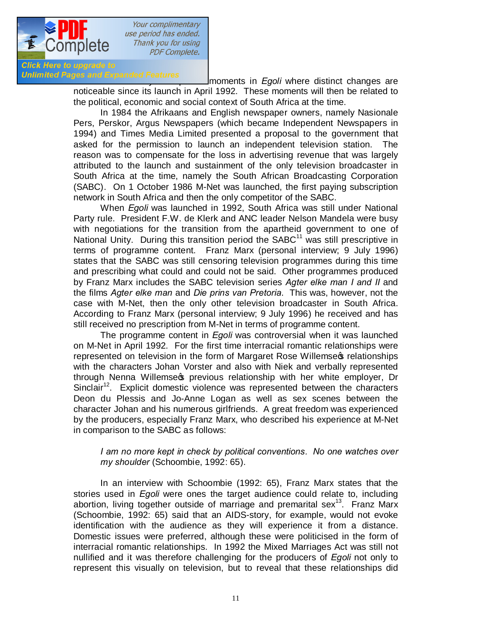

Unlimited Pages and Expanded Features<br> **Industry moments in** *Egoli* where distinct changes are noticeable since its launch in April 1992. These moments will then be related to the political, economic and social context of South Africa at the time.

> In 1984 the Afrikaans and English newspaper owners, namely Nasionale Pers, Perskor, Argus Newspapers (which became Independent Newspapers in 1994) and Times Media Limited presented a proposal to the government that asked for the permission to launch an independent television station. The reason was to compensate for the loss in advertising revenue that was largely attributed to the launch and sustainment of the only television broadcaster in South Africa at the time, namely the South African Broadcasting Corporation (SABC). On 1 October 1986 M-Net was launched, the first paying subscription network in South Africa and then the only competitor of the SABC.

> When *Egoli* was launched in 1992, South Africa was still under National Party rule. President F.W. de Klerk and ANC leader Nelson Mandela were busy with negotiations for the transition from the apartheid government to one of National Unity. During this transition period the SABC<sup>11</sup> was still prescriptive in terms of programme content. Franz Marx (personal interview; 9 July 1996) states that the SABC was still censoring television programmes during this time and prescribing what could and could not be said. Other programmes produced by Franz Marx includes the SABC television series *Agter elke man I and II* and the films *Agter elke man* and *Die prins van Pretoria*. This was, however, not the case with M-Net, then the only other television broadcaster in South Africa. According to Franz Marx (personal interview; 9 July 1996) he received and has still received no prescription from M-Net in terms of programme content.

> The programme content in *Egoli* was controversial when it was launched on M-Net in April 1992. For the first time interracial romantic relationships were represented on television in the form of Margaret Rose Willemseo relationships with the characters Johan Vorster and also with Niek and verbally represented through Nenna Willemses previous relationship with her white employer. Dr Sinclair<sup>12</sup>. Explicit domestic violence was represented between the characters Deon du Plessis and Jo-Anne Logan as well as sex scenes between the character Johan and his numerous girlfriends. A great freedom was experienced by the producers, especially Franz Marx, who described his experience at M-Net in comparison to the SABC as follows:

#### *I am no more kept in check by political conventions. No one watches over my shoulder* (Schoombie, 1992: 65).

In an interview with Schoombie (1992: 65), Franz Marx states that the stories used in *Egoli* were ones the target audience could relate to, including abortion, living together outside of marriage and premarital sex<sup>13</sup>. Franz Marx (Schoombie, 1992: 65) said that an AIDS-story, for example, would not evoke identification with the audience as they will experience it from a distance. Domestic issues were preferred, although these were politicised in the form of interracial romantic relationships. In 1992 the Mixed Marriages Act was still not nullified and it was therefore challenging for the producers of *Egoli* not only to represent this visually on television, but to reveal that these relationships did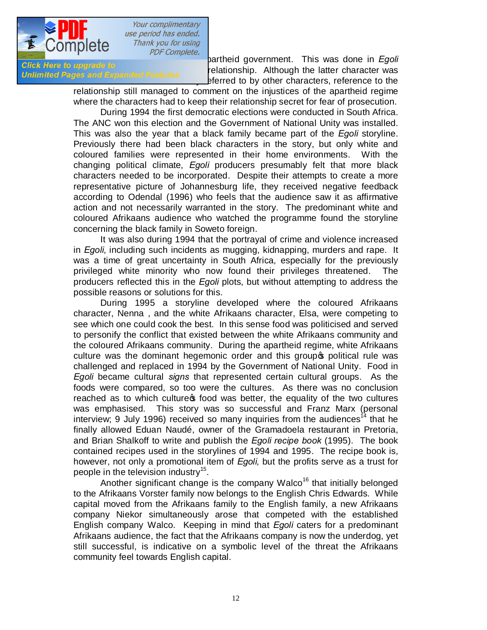

**occur even the rule of an apart of a set apart of a set apart of a set apart of a set apart of a set apart of a**<br>Click Here to upgrade to **click and the lotter character was** then here to upgrade to<br>Unlimited Pages and Expanded Features of the latter of the latter of the discretion of the discretion of the d eferred to by other characters, reference to the

relationship still managed to comment on the injustices of the apartheid regime where the characters had to keep their relationship secret for fear of prosecution.

During 1994 the first democratic elections were conducted in South Africa. The ANC won this election and the Government of National Unity was installed. This was also the year that a black family became part of the *Egoli* storyline. Previously there had been black characters in the story, but only white and coloured families were represented in their home environments. With the changing political climate, *Egoli* producers presumably felt that more black characters needed to be incorporated. Despite their attempts to create a more representative picture of Johannesburg life, they received negative feedback according to Odendal (1996) who feels that the audience saw it as affirmative action and not necessarily warranted in the story. The predominant white and coloured Afrikaans audience who watched the programme found the storyline concerning the black family in Soweto foreign.

It was also during 1994 that the portrayal of crime and violence increased in *Egoli*, including such incidents as mugging, kidnapping, murders and rape. It was a time of great uncertainty in South Africa, especially for the previously privileged white minority who now found their privileges threatened. The producers reflected this in the *Egoli* plots, but without attempting to address the possible reasons or solutions for this.

During 1995 a storyline developed where the coloured Afrikaans character, Nenna , and the white Afrikaans character, Elsa, were competing to see which one could cook the best. In this sense food was politicised and served to personify the conflict that existed between the white Afrikaans community and the coloured Afrikaans community. During the apartheid regime, white Afrikaans culture was the dominant hegemonic order and this groups political rule was challenged and replaced in 1994 by the Government of National Unity. Food in *Egoli* became cultural *signs* that represented certain cultural groups. As the foods were compared, so too were the cultures. As there was no conclusion reached as to which culture of food was better, the equality of the two cultures was emphasised. This story was so successful and Franz Marx (personal interview; 9 July 1996) received so many inquiries from the audiences<sup>14</sup> that he finally allowed Eduan Naudé, owner of the Gramadoela restaurant in Pretoria, and Brian Shalkoff to write and publish the *Egoli recipe book* (1995). The book contained recipes used in the storylines of 1994 and 1995. The recipe book is, however, not only a promotional item of *Egoli,* but the profits serve as a trust for people in the television industry<sup>15</sup>.

Another significant change is the company Walco<sup>16</sup> that initially belonged to the Afrikaans Vorster family now belongs to the English Chris Edwards. While capital moved from the Afrikaans family to the English family, a new Afrikaans company Niekor simultaneously arose that competed with the established English company Walco. Keeping in mind that *Egoli* caters for a predominant Afrikaans audience, the fact that the Afrikaans company is now the underdog, yet still successful, is indicative on a symbolic level of the threat the Afrikaans community feel towards English capital.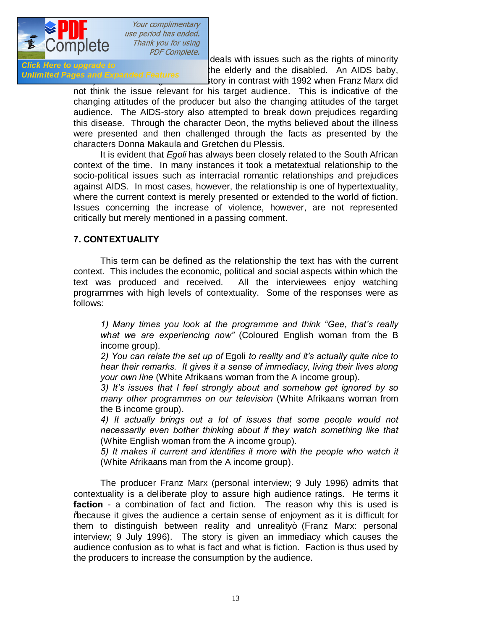

**EGOLITYICIC**<br> *Elick Here to upgrade to*<br> **Elick Here to upgrade to**<br> **Elick Here to upgrade to**<br> **Elick Here to upgrade to** Grow here to upgrade to<br>Unlimited Pages and Expanded Features the elderly and the disabled. An AIDS baby, tory in contrast with 1992 when Franz Marx did

> not think the issue relevant for his target audience. This is indicative of the changing attitudes of the producer but also the changing attitudes of the target audience. The AIDS-story also attempted to break down prejudices regarding this disease. Through the character Deon, the myths believed about the illness were presented and then challenged through the facts as presented by the characters Donna Makaula and Gretchen du Plessis.

> It is evident that *Egoli* has always been closely related to the South African context of the time. In many instances it took a metatextual relationship to the socio-political issues such as interracial romantic relationships and prejudices against AIDS. In most cases, however, the relationship is one of hypertextuality, where the current context is merely presented or extended to the world of fiction. Issues concerning the increase of violence, however, are not represented critically but merely mentioned in a passing comment.

## **7. CONTEXTUALITY**

This term can be defined as the relationship the text has with the current context. This includes the economic, political and social aspects within which the text was produced and received. All the interviewees enjoy watching programmes with high levels of contextuality. Some of the responses were as follows:

*1) Many times you look at the programme and think "Gee, that's really what we are experiencing now"* (Coloured English woman from the B income group)*.*

*2) You can relate the set up of* Egoli *to reality and it's actually quite nice to hear their remarks. It gives it a sense of immediacy, living their lives along your own line* (White Afrikaans woman from the A income group)*.*

*3) It's issues that I feel strongly about and somehow get ignored by so many other programmes on our television* (White Afrikaans woman from the B income group).

*4) It actually brings out a lot of issues that some people would not necessarily even bother thinking about if they watch something like that*  (White English woman from the A income group).

*5) It makes it current and identifies it more with the people who watch it* (White Afrikaans man from the A income group).

The producer Franz Marx (personal interview; 9 July 1996) admits that contextuality is a deliberate ploy to assure high audience ratings. He terms it **faction** - a combination of fact and fiction. The reason why this is used is "because it gives the audience a certain sense of enjoyment as it is difficult for them to distinguish between reality and unreality+ (Franz Marx: personal interview; 9 July 1996). The story is given an immediacy which causes the audience confusion as to what is fact and what is fiction. Faction is thus used by the producers to increase the consumption by the audience.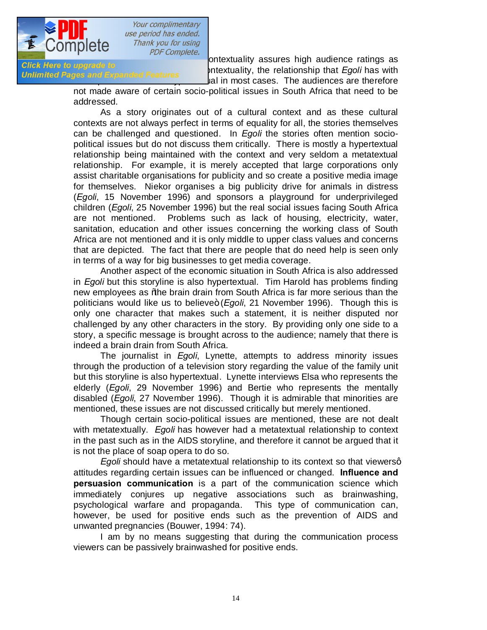

Example to the fact that the fact that contextuality assures high audience ratings as<br>Click Here to upgrade to serve that contextuality the relationship that Exclibes with **anch here to upgrade to**<br>**Unlimited Pages and Expanded Features of contract the relationship that** *Egoli* **has with** al in most cases. The audiences are therefore

> not made aware of certain socio-political issues in South Africa that need to be addressed.

> As a story originates out of a cultural context and as these cultural contexts are not always perfect in terms of equality for all, the stories themselves can be challenged and questioned. In *Egoli* the stories often mention sociopolitical issues but do not discuss them critically. There is mostly a hypertextual relationship being maintained with the context and very seldom a metatextual relationship. For example, it is merely accepted that large corporations only assist charitable organisations for publicity and so create a positive media image for themselves. Niekor organises a big publicity drive for animals in distress (*Egoli*, 15 November 1996) and sponsors a playground for underprivileged children (*Egoli*, 25 November 1996) but the real social issues facing South Africa are not mentioned. Problems such as lack of housing, electricity, water, sanitation, education and other issues concerning the working class of South Africa are not mentioned and it is only middle to upper class values and concerns that are depicted. The fact that there are people that do need help is seen only in terms of a way for big businesses to get media coverage.

> Another aspect of the economic situation in South Africa is also addressed in *Egoli* but this storyline is also hypertextual. Tim Harold has problems finding new employees as *the brain drain from South Africa is far more serious than the* politicians would like us to believe" (*Egoli*, 21 November 1996). Though this is only one character that makes such a statement, it is neither disputed nor challenged by any other characters in the story. By providing only one side to a story, a specific message is brought across to the audience; namely that there is indeed a brain drain from South Africa.

> The journalist in *Egoli*, Lynette, attempts to address minority issues through the production of a television story regarding the value of the family unit but this storyline is also hypertextual. Lynette interviews Elsa who represents the elderly (*Egoli*, 29 November 1996) and Bertie who represents the mentally disabled (*Egoli*, 27 November 1996). Though it is admirable that minorities are mentioned, these issues are not discussed critically but merely mentioned.

> Though certain socio-political issues are mentioned, these are not dealt with metatextually. *Egoli* has however had a metatextual relationship to context in the past such as in the AIDS storyline, and therefore it cannot be argued that it is not the place of soap opera to do so.

> *Egoli* should have a metatextual relationship to its context so that viewersq attitudes regarding certain issues can be influenced or changed. **Influence and persuasion communication** is a part of the communication science which immediately conjures up negative associations such as brainwashing, psychological warfare and propaganda. This type of communication can, however, be used for positive ends such as the prevention of AIDS and unwanted pregnancies (Bouwer, 1994: 74).

> I am by no means suggesting that during the communication process viewers can be passively brainwashed for positive ends.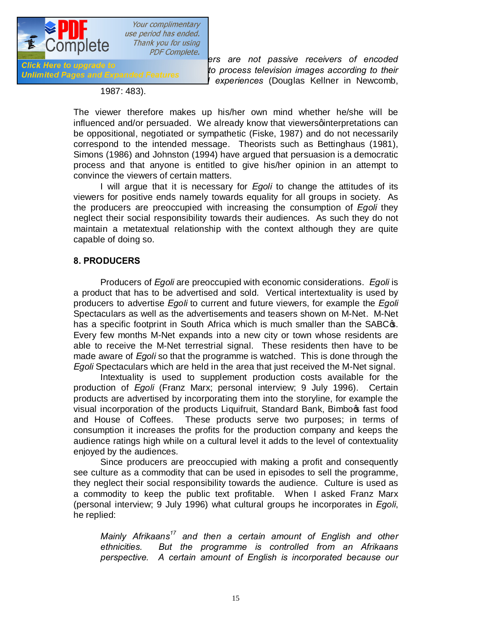

*to process television images according to their*<br>Unlimited Pages and Expanded Features *life situations and cultural experiences* (Douglas Kellner in Newcomb,

1987: 483)*.*

The viewer therefore makes up his/her own mind whether he/she will be influenced and/or persuaded. We already know that viewers ginterpretations can be oppositional, negotiated or sympathetic (Fiske, 1987) and do not necessarily correspond to the intended message. Theorists such as Bettinghaus (1981), Simons (1986) and Johnston (1994) have argued that persuasion is a democratic process and that anyone is entitled to give his/her opinion in an attempt to convince the viewers of certain matters.

I will argue that it is necessary for *Egoli* to change the attitudes of its viewers for positive ends namely towards equality for all groups in society. As the producers are preoccupied with increasing the consumption of *Egoli* they neglect their social responsibility towards their audiences. As such they do not maintain a metatextual relationship with the context although they are quite capable of doing so.

# **8. PRODUCERS**

Producers of *Egoli* are preoccupied with economic considerations. *Egoli* is a product that has to be advertised and sold. Vertical intertextuality is used by producers to advertise *Egoli* to current and future viewers, for example the *Egoli*  Spectaculars as well as the advertisements and teasers shown on M-Net. M-Net has a specific footprint in South Africa which is much smaller than the SABC $\sigma$ . Every few months M-Net expands into a new city or town whose residents are able to receive the M-Net terrestrial signal. These residents then have to be made aware of *Egoli* so that the programme is watched. This is done through the *Egoli* Spectaculars which are held in the area that just received the M-Net signal.

Intextuality is used to supplement production costs available for the production of *Egoli* (Franz Marx; personal interview; 9 July 1996). Certain products are advertised by incorporating them into the storyline, for example the visual incorporation of the products Liquifruit, Standard Bank, Bimboot fast food and House of Coffees. These products serve two purposes; in terms of consumption it increases the profits for the production company and keeps the audience ratings high while on a cultural level it adds to the level of contextuality enjoyed by the audiences.

Since producers are preoccupied with making a profit and consequently see culture as a commodity that can be used in episodes to sell the programme, they neglect their social responsibility towards the audience. Culture is used as a commodity to keep the public text profitable. When I asked Franz Marx (personal interview; 9 July 1996) what cultural groups he incorporates in *Egoli*, he replied:

*Mainly Afrikaans17 and then a certain amount of English and other ethnicities. But the programme is controlled from an Afrikaans perspective. A certain amount of English is incorporated because our*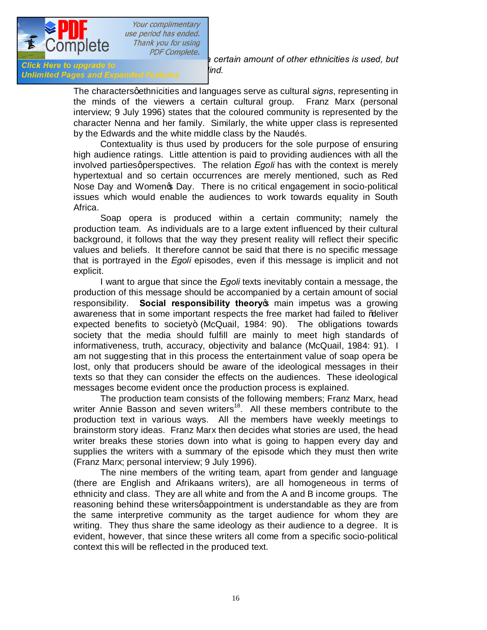

*complete.*<br>*click Here to upgrade to click Here to upgrade to ind* 

*Unlimited Pages and Expanded Features lind.* 

The characters qethnicities and languages serve as cultural *signs*, representing in the minds of the viewers a certain cultural group. Franz Marx (personal interview; 9 July 1996) states that the coloured community is represented by the character Nenna and her family. Similarly, the white upper class is represented by the Edwards and the white middle class by the Naudés.

Contextuality is thus used by producers for the sole purpose of ensuring high audience ratings. Little attention is paid to providing audiences with all the involved parties aperspectives. The relation *Egoli* has with the context is merely hypertextual and so certain occurrences are merely mentioned, such as Red Nose Day and Womengs Day. There is no critical engagement in socio-political issues which would enable the audiences to work towards equality in South Africa.

Soap opera is produced within a certain community; namely the production team. As individuals are to a large extent influenced by their cultural background, it follows that the way they present reality will reflect their specific values and beliefs. It therefore cannot be said that there is no specific message that is portrayed in the *Egoli* episodes, even if this message is implicit and not explicit.

I want to argue that since the *Egoli* texts inevitably contain a message, the production of this message should be accompanied by a certain amount of social responsibility. **Social responsibility theory** main impetus was a growing awareness that in some important respects the free market had failed to % beliver expected benefits to society+ (McQuail,  $1984: 90$ ). The obligations towards society that the media should fulfill are mainly to meet high standards of informativeness, truth, accuracy, objectivity and balance (McQuail, 1984: 91). I am not suggesting that in this process the entertainment value of soap opera be lost, only that producers should be aware of the ideological messages in their texts so that they can consider the effects on the audiences. These ideological messages become evident once the production process is explained.

The production team consists of the following members; Franz Marx, head writer Annie Basson and seven writers<sup>18</sup>. All these members contribute to the production text in various ways. All the members have weekly meetings to brainstorm story ideas. Franz Marx then decides what stories are used, the head writer breaks these stories down into what is going to happen every day and supplies the writers with a summary of the episode which they must then write (Franz Marx; personal interview; 9 July 1996).

The nine members of the writing team, apart from gender and language (there are English and Afrikaans writers), are all homogeneous in terms of ethnicity and class. They are all white and from the A and B income groups. The reasoning behind these writers appointment is understandable as they are from the same interpretive community as the target audience for whom they are writing. They thus share the same ideology as their audience to a degree. It is evident, however, that since these writers all come from a specific socio-political context this will be reflected in the produced text.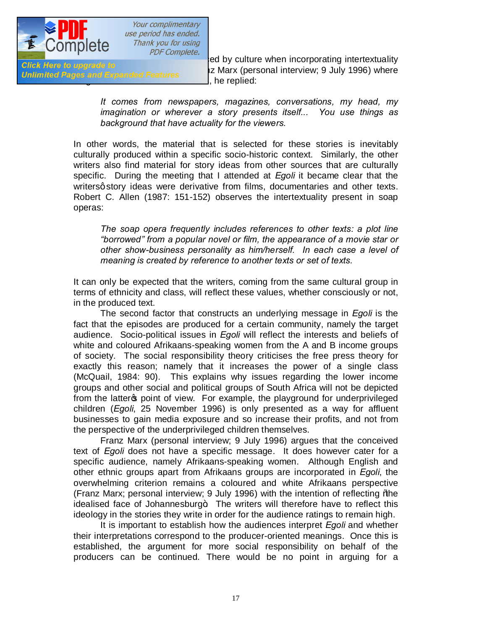

**Effect Here to apgrace to**<br>Unlimited Fages and Expanded Features 12 Marx (personal interview; 9 July 1996) where , he replied:

> *It comes from newspapers, magazines, conversations, my head, my imagination or wherever a story presents itself... You use things as background that have actuality for the viewers.*

In other words, the material that is selected for these stories is inevitably culturally produced within a specific socio-historic context. Similarly, the other writers also find material for story ideas from other sources that are culturally specific. During the meeting that I attended at *Egoli* it became clear that the writers a story ideas were derivative from films, documentaries and other texts. Robert C. Allen (1987: 151-152) observes the intertextuality present in soap operas:

*The soap opera frequently includes references to other texts: a plot line "borrowed" from a popular novel or film, the appearance of a movie star or other show-business personality as him/herself. In each case a level of meaning is created by reference to another texts or set of texts.* 

It can only be expected that the writers, coming from the same cultural group in terms of ethnicity and class, will reflect these values, whether consciously or not, in the produced text.

The second factor that constructs an underlying message in *Egoli* is the fact that the episodes are produced for a certain community, namely the target audience. Socio-political issues in *Egoli* will reflect the interests and beliefs of white and coloured Afrikaans-speaking women from the A and B income groups of society. The social responsibility theory criticises the free press theory for exactly this reason; namely that it increases the power of a single class (McQuail, 1984: 90). This explains why issues regarding the lower income groups and other social and political groups of South Africa will not be depicted from the latter opoint of view. For example, the playground for underprivileged children (*Egoli*, 25 November 1996) is only presented as a way for affluent businesses to gain media exposure and so increase their profits, and not from the perspective of the underprivileged children themselves.

Franz Marx (personal interview; 9 July 1996) argues that the conceived text of *Egoli* does not have a specific message. It does however cater for a specific audience, namely Afrikaans-speaking women. Although English and other ethnic groups apart from Afrikaans groups are incorporated in *Egoli*, the overwhelming criterion remains a coloured and white Afrikaans perspective (Franz Marx; personal interview; 9 July 1996) with the intention of reflecting "the idealised face of Johannesburg+. The writers will therefore have to reflect this ideology in the stories they write in order for the audience ratings to remain high.

It is important to establish how the audiences interpret *Egoli* and whether their interpretations correspond to the producer-oriented meanings. Once this is established, the argument for more social responsibility on behalf of the producers can be continued. There would be no point in arguing for a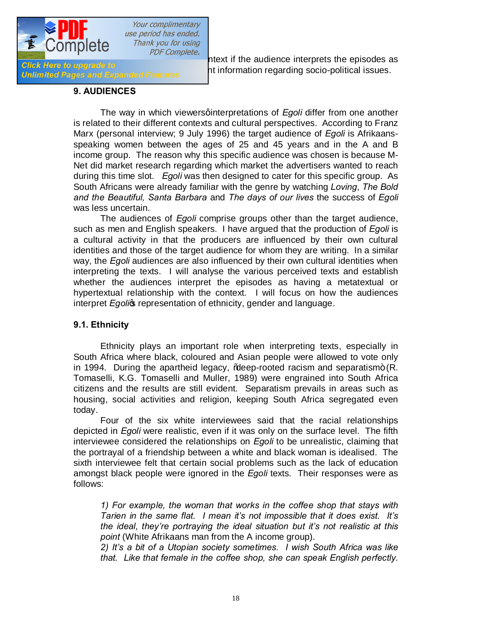

 $\frac{1}{\sqrt{100}}$  and the contextual relationship to the context if the audience interprets the episodes as  $\frac{1}{\sqrt{100}}$  and infermation recording equipments the episodes as enck here to upgrade to<br>Unlimited Pages and Expanded Features ht information regarding socio-political issues.

#### **9. AUDIENCES**

The way in which viewersginterpretations of *Egoli* differ from one another is related to their different contexts and cultural perspectives. According to Franz Marx (personal interview; 9 July 1996) the target audience of *Egoli* is Afrikaansspeaking women between the ages of 25 and 45 years and in the A and B income group. The reason why this specific audience was chosen is because M-Net did market research regarding which market the advertisers wanted to reach during this time slot. *Egoli* was then designed to cater for this specific group. As South Africans were already familiar with the genre by watching *Loving*, *The Bold and the Beautiful, Santa Barbara* and *The days of our lives* the success of *Egoli* was less uncertain.

The audiences of *Egoli* comprise groups other than the target audience, such as men and English speakers. I have argued that the production of *Egoli* is a cultural activity in that the producers are influenced by their own cultural identities and those of the target audience for whom they are writing. In a similar way, the *Egoli* audiences are also influenced by their own cultural identities when interpreting the texts. I will analyse the various perceived texts and establish whether the audiences interpret the episodes as having a metatextual or hypertextual relationship with the context. I will focus on how the audiences interpret *Egolic* representation of ethnicity, gender and language.

#### **9.1. Ethnicity**

Ethnicity plays an important role when interpreting texts, especially in South Africa where black, coloured and Asian people were allowed to vote only in 1994. During the apartheid legacy,  $%$  deep-rooted racism and separatism + (R. Tomaselli, K.G. Tomaselli and Muller, 1989) were engrained into South Africa citizens and the results are still evident. Separatism prevails in areas such as housing, social activities and religion, keeping South Africa segregated even today.

Four of the six white interviewees said that the racial relationships depicted in *Egoli* were realistic, even if it was only on the surface level. The fifth interviewee considered the relationships on *Egoli* to be unrealistic, claiming that the portrayal of a friendship between a white and black woman is idealised. The sixth interviewee felt that certain social problems such as the lack of education amongst black people were ignored in the *Egoli* texts. Their responses were as follows:

*1) For example, the woman that works in the coffee shop that stays with Tarien in the same flat. I mean it's not impossible that it does exist. It's the ideal, they're portraying the ideal situation but it's not realistic at this point* (White Afrikaans man from the A income group)*.*

*2) It's a bit of a Utopian society sometimes. I wish South Africa was like that. Like that female in the coffee shop, she can speak English perfectly.*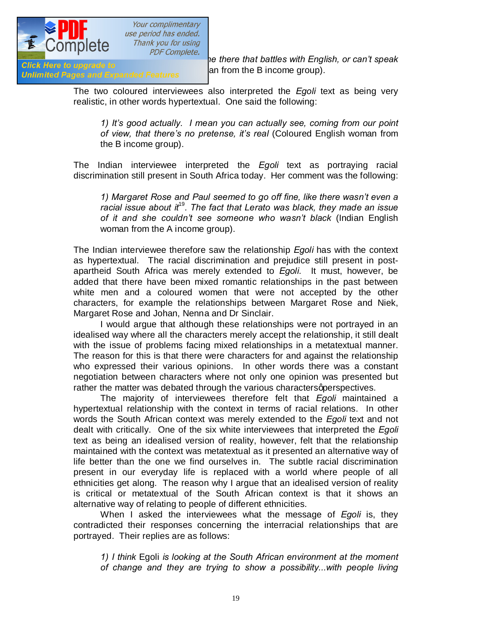

*Africa Hele to upgrade to*<br>*Africa English mand Expanded Features* and from the B income group).

**The COTTIPICTC** *PDF Complete.*<br> **They there that battles with English, or can't speak Click Here to upgrade to** 

The two coloured interviewees also interpreted the *Egoli* text as being very realistic, in other words hypertextual. One said the following:

*1) It's good actually. I mean you can actually see, coming from our point of view, that there's no pretense, it's real* (Coloured English woman from the B income group).

The Indian interviewee interpreted the *Egoli* text as portraying racial discrimination still present in South Africa today. Her comment was the following:

*1) Margaret Rose and Paul seemed to go off fine, like there wasn't even a racial issue about it*<sup>19</sup>*. The fact that Lerato was black, they made an issue of it and she couldn't see someone who wasn't black* (Indian English woman from the A income group).

The Indian interviewee therefore saw the relationship *Egoli* has with the context as hypertextual. The racial discrimination and prejudice still present in postapartheid South Africa was merely extended to *Egoli*. It must, however, be added that there have been mixed romantic relationships in the past between white men and a coloured women that were not accepted by the other characters, for example the relationships between Margaret Rose and Niek, Margaret Rose and Johan, Nenna and Dr Sinclair.

I would argue that although these relationships were not portrayed in an idealised way where all the characters merely accept the relationship, it still dealt with the issue of problems facing mixed relationships in a metatextual manner. The reason for this is that there were characters for and against the relationship who expressed their various opinions. In other words there was a constant negotiation between characters where not only one opinion was presented but rather the matter was debated through the various characters appress pectives.

The majority of interviewees therefore felt that *Egoli* maintained a hypertextual relationship with the context in terms of racial relations. In other words the South African context was merely extended to the *Egoli* text and not dealt with critically. One of the six white interviewees that interpreted the *Egoli* text as being an idealised version of reality, however, felt that the relationship maintained with the context was metatextual as it presented an alternative way of life better than the one we find ourselves in. The subtle racial discrimination present in our everyday life is replaced with a world where people of all ethnicities get along. The reason why I argue that an idealised version of reality is critical or metatextual of the South African context is that it shows an alternative way of relating to people of different ethnicities.

When I asked the interviewees what the message of *Egoli* is, they contradicted their responses concerning the interracial relationships that are portrayed. Their replies are as follows:

*1) I think* Egoli *is looking at the South African environment at the moment of change and they are trying to show a possibility...with people living*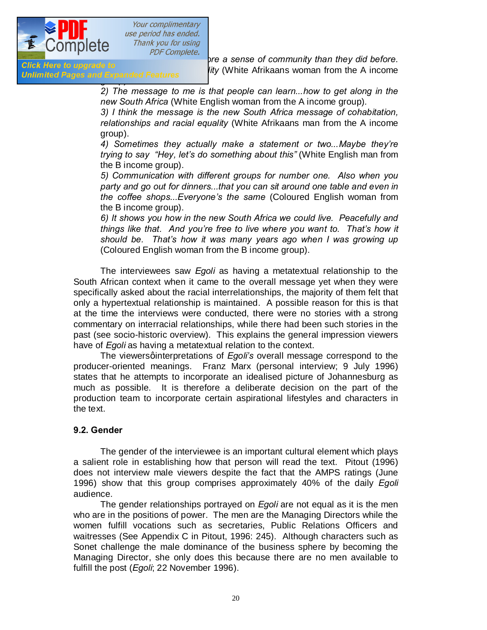

**Unlimited Pages and Expanded Features** 

**together, may be to the sense of community than they did before.**<br>**Click Here to upgrade to** *the Click Here to upgrade to Iity* (White Afrikaans woman from the A income

> *2) The message to me is that people can learn...how to get along in the new South Africa* (White English woman from the A income group)*.*

> *3) I think the message is the new South Africa message of cohabitation, relationships and racial equality* (White Afrikaans man from the A income group).

> *4) Sometimes they actually make a statement or two...Maybe they're trying to say "Hey, let's do something about this"* (White English man from the B income group).

> *5) Communication with different groups for number one. Also when you party and go out for dinners...that you can sit around one table and even in the coffee shops...Everyone's the same* (Coloured English woman from the B income group).

> *6) It shows you how in the new South Africa we could live. Peacefully and things like that. And you're free to live where you want to. That's how it should be. That's how it was many years ago when I was growing up*  (Coloured English woman from the B income group).

The interviewees saw *Egoli* as having a metatextual relationship to the South African context when it came to the overall message yet when they were specifically asked about the racial interrelationships, the majority of them felt that only a hypertextual relationship is maintained. A possible reason for this is that at the time the interviews were conducted, there were no stories with a strong commentary on interracial relationships, while there had been such stories in the past (see socio-historic overview). This explains the general impression viewers have of *Egoli* as having a metatextual relation to the context.

The viewersginterpretations of *Egoli*'s overall message correspond to the producer-oriented meanings. Franz Marx (personal interview; 9 July 1996) states that he attempts to incorporate an idealised picture of Johannesburg as much as possible. It is therefore a deliberate decision on the part of the production team to incorporate certain aspirational lifestyles and characters in the text.

#### **9.2. Gender**

The gender of the interviewee is an important cultural element which plays a salient role in establishing how that person will read the text. Pitout (1996) does not interview male viewers despite the fact that the AMPS ratings (June 1996) show that this group comprises approximately 40% of the daily *Egoli* audience.

The gender relationships portrayed on *Egoli* are not equal as it is the men who are in the positions of power. The men are the Managing Directors while the women fulfill vocations such as secretaries, Public Relations Officers and waitresses (See Appendix C in Pitout, 1996: 245). Although characters such as Sonet challenge the male dominance of the business sphere by becoming the Managing Director, she only does this because there are no men available to fulfill the post (*Egoli*; 22 November 1996).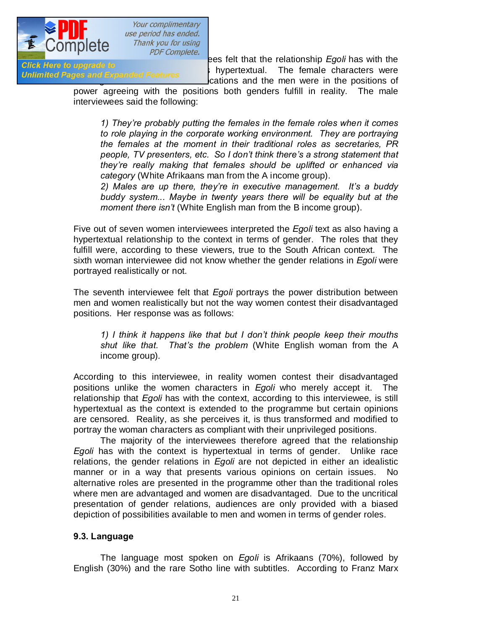

Both of the male to the male to the male interviewer of the male interviewer of the male share term interviewe<br>Click Here to upgrade to chek here to upgrade to<br>Unlimited Pages and Expanded Features and the setting and the female characters were cations and the men were in the positions of

> power agreeing with the positions both genders fulfill in reality. The male interviewees said the following:

*1) They're probably putting the females in the female roles when it comes to role playing in the corporate working environment. They are portraying the females at the moment in their traditional roles as secretaries, PR people, TV presenters, etc. So I don't think there's a strong statement that they're really making that females should be uplifted or enhanced via category* (White Afrikaans man from the A income group).

*2) Males are up there, they're in executive management. It's a buddy buddy system... Maybe in twenty years there will be equality but at the moment there isn't* (White English man from the B income group).

Five out of seven women interviewees interpreted the *Egoli* text as also having a hypertextual relationship to the context in terms of gender. The roles that they fulfill were, according to these viewers, true to the South African context. The sixth woman interviewee did not know whether the gender relations in *Egoli* were portrayed realistically or not.

The seventh interviewee felt that *Egoli* portrays the power distribution between men and women realistically but not the way women contest their disadvantaged positions. Her response was as follows:

*1) I think it happens like that but I don't think people keep their mouths shut like that. That's the problem* (White English woman from the A income group)*.* 

According to this interviewee, in reality women contest their disadvantaged positions unlike the women characters in *Egoli* who merely accept it. The relationship that *Egoli* has with the context, according to this interviewee, is still hypertextual as the context is extended to the programme but certain opinions are censored. Reality, as she perceives it, is thus transformed and modified to portray the woman characters as compliant with their unprivileged positions.

The majority of the interviewees therefore agreed that the relationship *Egoli* has with the context is hypertextual in terms of gender. Unlike race relations, the gender relations in *Egoli* are not depicted in either an idealistic manner or in a way that presents various opinions on certain issues. No alternative roles are presented in the programme other than the traditional roles where men are advantaged and women are disadvantaged. Due to the uncritical presentation of gender relations, audiences are only provided with a biased depiction of possibilities available to men and women in terms of gender roles.

#### **9.3. Language**

The language most spoken on *Egoli* is Afrikaans (70%), followed by English (30%) and the rare Sotho line with subtitles. According to Franz Marx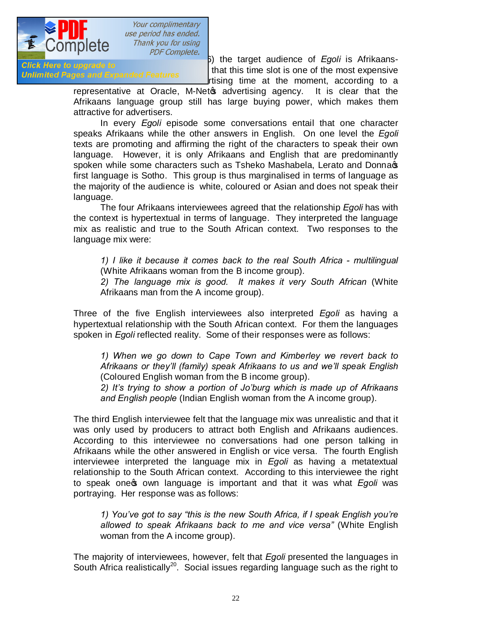

ersonal interview; 9 and the target audience of *Egoli* is Afrikaans-<br>Click Here to upgrade to the state that this time alot is one of the most expensive She women to upgrade to<br>Unlimited Pages and Expanded Features rtising time at the moment, according to a

> representative at Oracle, M-Net sadvertising agency. It is clear that the Afrikaans language group still has large buying power, which makes them attractive for advertisers.

> In every *Egoli* episode some conversations entail that one character speaks Afrikaans while the other answers in English. On one level the *Egoli* texts are promoting and affirming the right of the characters to speak their own language. However, it is only Afrikaans and English that are predominantly spoken while some characters such as Tsheko Mashabela, Lerato and Donna first language is Sotho. This group is thus marginalised in terms of language as the majority of the audience is white, coloured or Asian and does not speak their language.

> The four Afrikaans interviewees agreed that the relationship *Egoli* has with the context is hypertextual in terms of language. They interpreted the language mix as realistic and true to the South African context. Two responses to the language mix were:

*1) I like it because it comes back to the real South Africa - multilingual*  (White Afrikaans woman from the B income group).

2) The language mix is good. It makes it very South African (White Afrikaans man from the A income group).

Three of the five English interviewees also interpreted *Egoli* as having a hypertextual relationship with the South African context. For them the languages spoken in *Egoli* reflected reality. Some of their responses were as follows:

*1) When we go down to Cape Town and Kimberley we revert back to Afrikaans or they'll (family) speak Afrikaans to us and we'll speak English*  (Coloured English woman from the B income group).

*2) It's trying to show a portion of Jo'burg which is made up of Afrikaans and English people* (Indian English woman from the A income group).

The third English interviewee felt that the language mix was unrealistic and that it was only used by producers to attract both English and Afrikaans audiences. According to this interviewee no conversations had one person talking in Afrikaans while the other answered in English or vice versa. The fourth English interviewee interpreted the language mix in *Egoli* as having a metatextual relationship to the South African context. According to this interviewee the right to speak one **s** own language is important and that it was what *Egoli* was portraying. Her response was as follows:

*1) You've got to say "this is the new South Africa, if I speak English you're allowed to speak Afrikaans back to me and vice versa"* (White English woman from the A income group).

The majority of interviewees, however, felt that *Egoli* presented the languages in South Africa realistically<sup>20</sup>. Social issues regarding language such as the right to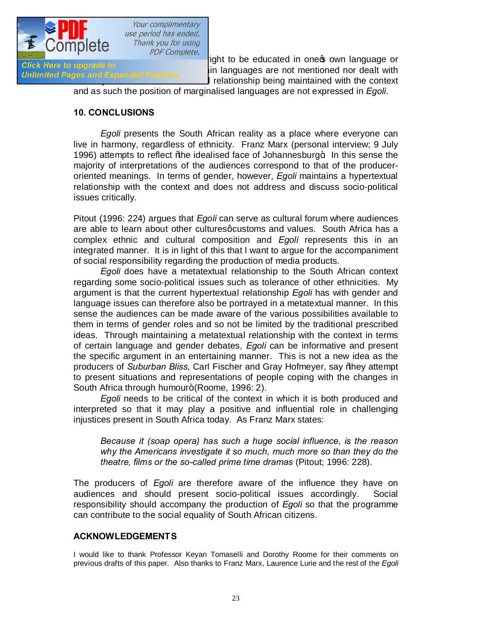

the marginalism of critical marginalism of critical position of the mentioned nor dealt with<br>Unlimited Pages and Expanded Features I relationship being maintained with the context

and as such the position of marginalised languages are not expressed in *Egoli*.

#### **10. CONCLUSIONS**

*Egoli* presents the South African reality as a place where everyone can live in harmony, regardless of ethnicity. Franz Marx (personal interview; 9 July 1996) attempts to reflect % the idealised face of Johannesburg +. In this sense the majority of interpretations of the audiences correspond to that of the produceroriented meanings. In terms of gender, however, *Egoli* maintains a hypertextual relationship with the context and does not address and discuss socio-political issues critically.

Pitout (1996: 224) argues that *Egoli* can serve as cultural forum where audiences are able to learn about other cultures quistoms and values. South Africa has a complex ethnic and cultural composition and *Egoli* represents this in an integrated manner. It is in light of this that I want to argue for the accompaniment of social responsibility regarding the production of media products.

*Egoli* does have a metatextual relationship to the South African context regarding some socio-political issues such as tolerance of other ethnicities. My argument is that the current hypertextual relationship *Egoli* has with gender and language issues can therefore also be portrayed in a metatextual manner. In this sense the audiences can be made aware of the various possibilities available to them in terms of gender roles and so not be limited by the traditional prescribed ideas. Through maintaining a metatextual relationship with the context in terms of certain language and gender debates, *Egoli* can be informative and present the specific argument in an entertaining manner. This is not a new idea as the producers of *Suburban Bliss*, Carl Fischer and Gray Hofmeyer, say "they attempt to present situations and representations of people coping with the changes in South Africa through humour+ (Roome, 1996: 2).

*Egoli* needs to be critical of the context in which it is both produced and interpreted so that it may play a positive and influential role in challenging injustices present in South Africa today. As Franz Marx states:

*Because it (soap opera) has such a huge social influence, is the reason why the Americans investigate it so much, much more so than they do the theatre, films or the so-called prime time dramas* (Pitout; 1996: 228)*.*

The producers of *Egoli* are therefore aware of the influence they have on audiences and should present socio-political issues accordingly. Social responsibility should accompany the production of *Egoli* so that the programme can contribute to the social equality of South African citizens.

#### **ACKNOWLEDGEMENTS**

I would like to thank Professor Keyan Tomaselli and Dorothy Roome for their comments on previous drafts of this paper. Also thanks to Franz Marx, Laurence Lurie and the rest of the *Egoli*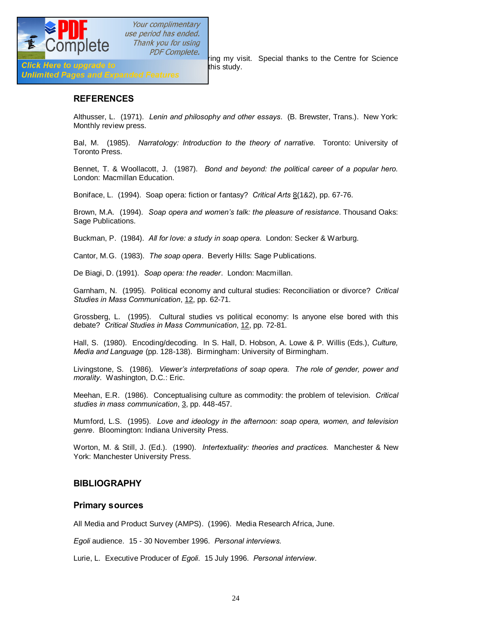

pDF Complete.<br>
Fing my visit. Special thanks to the Centre for Science

Click Here to upgrade to<br>Unlimited Pages and Expanded Features this study.

#### **REFERENCES**

Althusser, L. (1971). *Lenin and philosophy and other essays*. (B. Brewster, Trans.). New York: Monthly review press.

Bal, M. (1985). *Narratology: Introduction to the theory of narrative*. Toronto: University of Toronto Press.

Bennet, T. & Woollacott, J. (1987). *Bond and beyond: the political career of a popular hero.*  London: Macmillan Education.

Boniface, L. (1994). Soap opera: fiction or fantasy? *Critical Arts* 8(1&2), pp. 67-76.

Brown, M.A. (1994). *Soap opera and women's talk: the pleasure of resistance*. Thousand Oaks: Sage Publications.

Buckman, P. (1984). *All for love: a study in soap opera*. London: Secker & Warburg.

Cantor, M.G. (1983). *The soap opera*. Beverly Hills: Sage Publications.

De Biagi, D. (1991). *Soap opera: the reader*. London: Macmillan.

Garnham, N. (1995). Political economy and cultural studies: Reconciliation or divorce? *Critical Studies in Mass Communication*, 12, pp. 62-71.

Grossberg, L. (1995). Cultural studies vs political economy: Is anyone else bored with this debate? *Critical Studies in Mass Communication*, 12, pp. 72-81.

Hall, S. (1980). Encoding/decoding. In S. Hall, D. Hobson, A. Lowe & P. Willis (Eds.), *Culture, Media and Language* (pp. 128-138). Birmingham: University of Birmingham.

Livingstone, S. (1986). *Viewer's interpretations of soap opera. The role of gender, power and morality*. Washington, D.C.: Eric.

Meehan, E.R. (1986). Conceptualising culture as commodity: the problem of television. *Critical studies in mass communication*, 3, pp. 448-457.

Mumford, L.S. (1995). *Love and ideology in the afternoon: soap opera, women, and television genre*. Bloomington: Indiana University Press.

Worton, M. & Still, J. (Ed.). (1990). *Intertextuality: theories and practices.* Manchester & New York: Manchester University Press.

#### **BIBLIOGRAPHY**

#### **Primary sources**

All Media and Product Survey (AMPS). (1996). Media Research Africa, June.

*Egoli* audience*.* 15 - 30 November 1996. *Personal interviews.*

Lurie, L. Executive Producer of *Egoli*. 15 July 1996. *Personal interview*.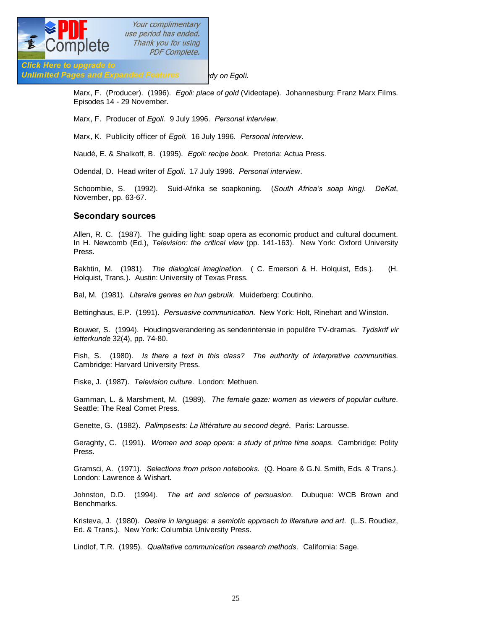

**Unlimited Pages and Expanded Features by An Anglitative Separation** 

Marx, F. (Producer). (1996). *Egoli: place of gold* (Videotape). Johannesburg: Franz Marx Films. Episodes 14 - 29 November.

Marx, F. Producer of *Egoli.* 9 July 1996. *Personal interview*.

Marx, K. Publicity officer of *Egoli.* 16 July 1996. *Personal interview*.

Naudé, E. & Shalkoff, B. (1995). *Egoli: recipe book*. Pretoria: Actua Press.

Odendal, D. Head writer of *Egoli*. 17 July 1996. *Personal interview*.

Schoombie, S. (1992). Suid-Afrika se soapkoning. (*South Africa's soap king). DeKat*, November, pp. 63-67.

#### **Secondary sources**

Allen, R. C. (1987). The guiding light: soap opera as economic product and cultural document. In H. Newcomb (Ed.), *Television: the critical view* (pp. 141-163). New York: Oxford University Press.

Bakhtin, M. (1981). *The dialogical imagination*. ( C. Emerson & H. Holquist, Eds.). (H. Holquist, Trans.). Austin: University of Texas Press.

Bal, M. (1981). *Literaire genres en hun gebruik*. Muiderberg: Coutinho.

Bettinghaus, E.P. (1991). *Persuasive communication*. New York: Holt, Rinehart and Winston.

Bouwer, S. (1994). Houdingsverandering as senderintensie in populêre TV-dramas. *Tydskrif vir letterkunde* 32(4), pp. 74-80.

Fish, S. (1980). *Is there a text in this class? The authority of interpretive communities*. Cambridge: Harvard University Press.

Fiske, J. (1987). *Television culture*. London: Methuen.

Gamman, L. & Marshment, M. (1989). *The female gaze: women as viewers of popular culture*. Seattle: The Real Comet Press.

Genette, G. (1982). *Palimpsests: La littérature au second degré*. Paris: Larousse.

Geraghty, C. (1991). *Women and soap opera: a study of prime time soaps*. Cambridge: Polity Press.

Gramsci, A. (1971). *Selections from prison notebooks.* (Q. Hoare & G.N. Smith, Eds. & Trans.). London: Lawrence & Wishart.

Johnston, D.D. (1994). *The art and science of persuasion*. Dubuque: WCB Brown and Benchmarks.

Kristeva, J. (1980). *Desire in language: a semiotic approach to literature and art*. (L.S. Roudiez, Ed. & Trans.). New York: Columbia University Press.

Lindlof, T.R. (1995). *Qualitative communication research methods*. California: Sage.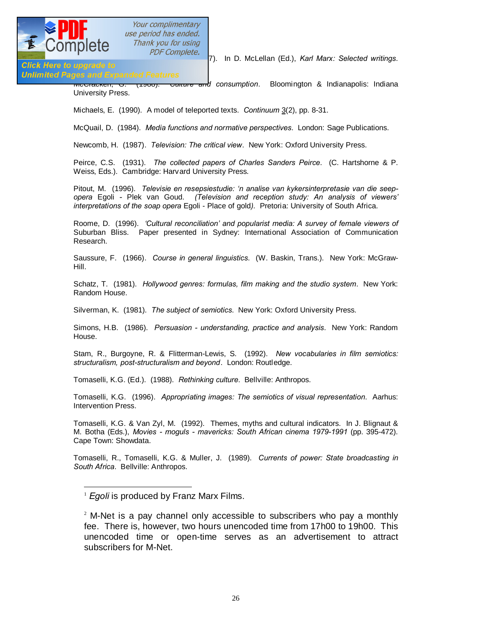

PDF Complete.<br>
7). In D. McLellan (Ed.), *Karl Marx: Selected writings.* 

# Click Here to upgrade to<br>Unlimited Pages and Expanded Features

McCracken, G. (1988). *Culture and consumption*. Bloomington & Indianapolis: Indiana University Press.

Michaels, E. (1990). A model of teleported texts. *Continuum* 3(2), pp. 8-31.

McQuail, D. (1984). *Media functions and normative perspectives*. London: Sage Publications.

Newcomb, H. (1987). *Television: The critical view*. New York: Oxford University Press.

Peirce, C.S. (1931). *The collected papers of Charles Sanders Peirce*. (C. Hartshorne & P. Weiss, Eds.). Cambridge: Harvard University Press.

Pitout, M. (1996). *Televisie en resepsiestudie: 'n analise van kykersinterpretasie van die seepopera* Egoli *-* Plek van Goud. *(Television and reception study: An analysis of viewers' interpretations of the soap opera* Egoli - Place of gold*).* Pretoria: University of South Africa.

Roome, D. (1996). *'Cultural reconciliation' and popularist media: A survey of female viewers of*  Suburban Bliss. Paper presented in Sydney: International Association of Communication Research.

Saussure, F. (1966). *Course in general linguistics*. (W. Baskin, Trans.). New York: McGraw-Hill.

Schatz, T. (1981). *Hollywood genres: formulas, film making and the studio system*. New York: Random House.

Silverman, K. (1981). *The subject of semiotics*. New York: Oxford University Press.

Simons, H.B. (1986). *Persuasion - understanding, practice and analysis*. New York: Random House.

Stam, R., Burgoyne, R. & Flitterman-Lewis, S. (1992). *New vocabularies in film semiotics: structuralism, post-structuralism and beyond*. London: Routledge.

Tomaselli, K.G. (Ed.). (1988). *Rethinking culture*. Bellville: Anthropos.

Tomaselli, K.G. (1996). *Appropriating images: The semiotics of visual representation*. Aarhus: Intervention Press.

Tomaselli, K.G. & Van Zyl, M. (1992). Themes, myths and cultural indicators. In J. Blignaut & M. Botha (Eds.), *Movies - moguls - mavericks: South African cinema 1979-1991* (pp. 395-472). Cape Town: Showdata.

Tomaselli, R., Tomaselli, K.G. & Muller, J. (1989). *Currents of power: State broadcasting in South Africa*. Bellville: Anthropos.

<sup>&</sup>lt;sup>1</sup> *Egoli* is produced by Franz Marx Films.

 $2$  M-Net is a pay channel only accessible to subscribers who pay a monthly fee. There is, however, two hours unencoded time from 17h00 to 19h00. This unencoded time or open-time serves as an advertisement to attract subscribers for M-Net.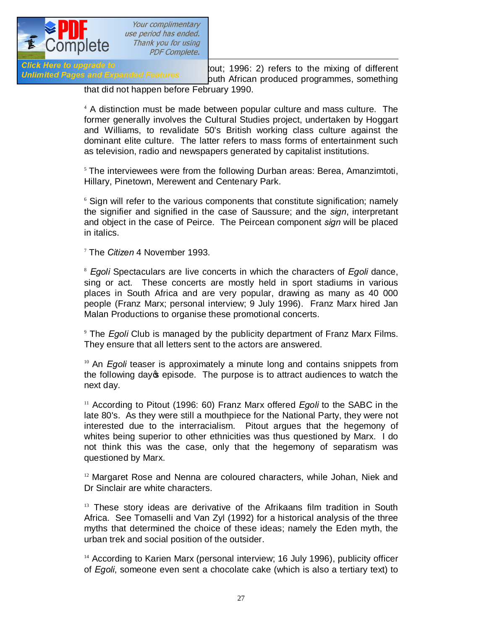

BE Complete.<br>3 PDF Complete.<br>3 Woult; 1996: 2) refers to the mixing of different Unlimited Pages and Expanded Features outh African produced programmes, something that did not happen before February 1990.

> 4 A distinction must be made between popular culture and mass culture. The former generally involves the Cultural Studies project, undertaken by Hoggart and Williams, to revalidate 50's British working class culture against the dominant elite culture. The latter refers to mass forms of entertainment such as television, radio and newspapers generated by capitalist institutions.

> $5$  The interviewees were from the following Durban areas: Berea, Amanzimtoti, Hillary, Pinetown, Merewent and Centenary Park.

> <sup>6</sup> Sign will refer to the various components that constitute signification; namely the signifier and signified in the case of Saussure; and the *sign*, interpretant and object in the case of Peirce. The Peircean component *sign* will be placed in italics.

7 The *Citizen* 4 November 1993.

<sup>8</sup> *Egoli* Spectaculars are live concerts in which the characters of *Egoli* dance, sing or act. These concerts are mostly held in sport stadiums in various places in South Africa and are very popular, drawing as many as 40 000 people (Franz Marx; personal interview; 9 July 1996). Franz Marx hired Jan Malan Productions to organise these promotional concerts.

9 The *Egoli* Club is managed by the publicity department of Franz Marx Films. They ensure that all letters sent to the actors are answered.

<sup>10</sup> An *Egoli* teaser is approximately a minute long and contains snippets from the following day's episode. The purpose is to attract audiences to watch the next day.

<sup>11</sup> According to Pitout (1996: 60) Franz Marx offered *Egoli* to the SABC in the late 80's. As they were still a mouthpiece for the National Party, they were not interested due to the interracialism. Pitout argues that the hegemony of whites being superior to other ethnicities was thus questioned by Marx. I do not think this was the case, only that the hegemony of separatism was questioned by Marx.

 $12$  Margaret Rose and Nenna are coloured characters, while Johan, Niek and Dr Sinclair are white characters.

<sup>13</sup> These story ideas are derivative of the Afrikaans film tradition in South Africa. See Tomaselli and Van Zyl (1992) for a historical analysis of the three myths that determined the choice of these ideas; namely the Eden myth, the urban trek and social position of the outsider.

<sup>14</sup> According to Karien Marx (personal interview; 16 July 1996), publicity officer of *Egoli*, someone even sent a chocolate cake (which is also a tertiary text) to